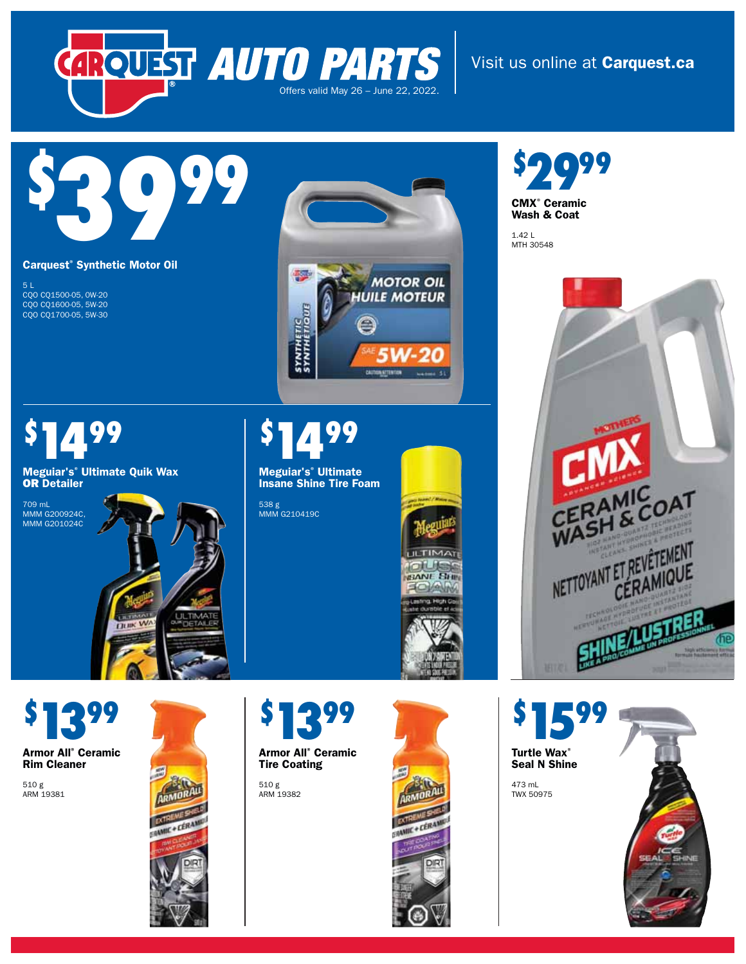

Visit us online at **Carquest.ca**

# \$ 3999

#### **Carquest® Synthetic Motor Oil**

1499

**Meguiar's® Ultimate Quik Wax**  OR **Detailer** 

Пинк

5 L CQO CQ1500-05, 0W-20 CQO CQ1600-05, 5W-20 CQO CQ1700-05, 5W-30

\$

709 mL MMM G200924C, MMM G201024C



#### \$ 1499

**Meguiar's® Ultimate Insane Shine Tire Foam** 

538 g MMM G210419C



\$ 1399 **Armor All® Ceramic Rim Cleaner** 

510 g ARM 19381





510 g ARM 19382



\$ 099 **CMX® Ceramic Wash & Coat** 

1.42 L MTH 30548



**Turtle Wax® Seal N Shine**  473 mL TWX 50975

1599

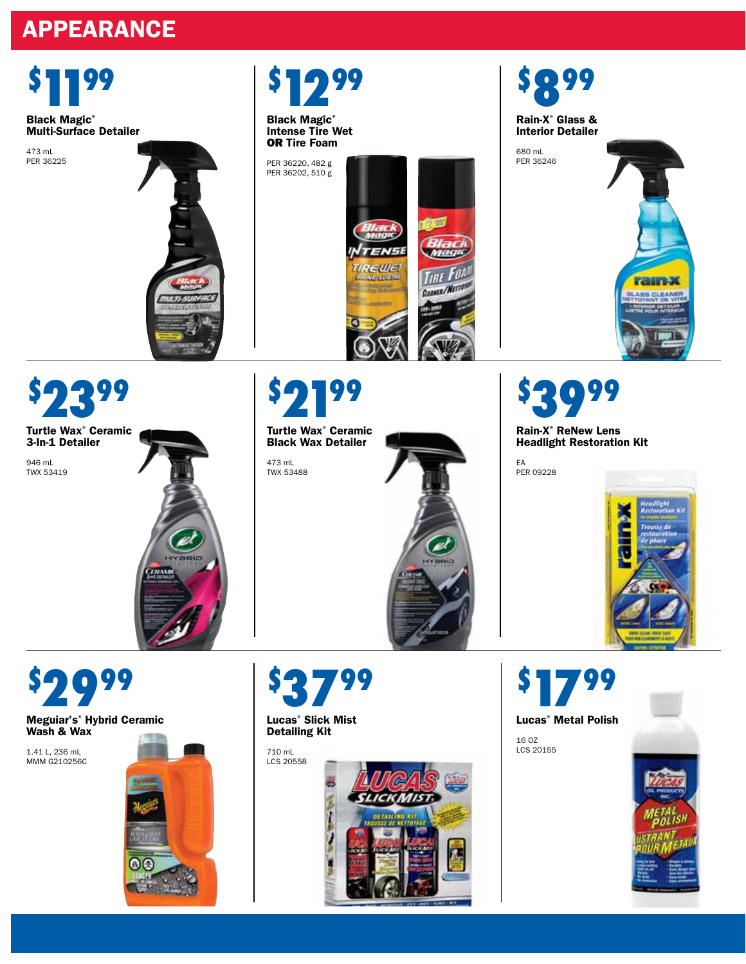# **APPEARANCE**

\$

473 mL PER 36225





**Black Magic® Intense Tire Wet**  OR **Tire Foam** 

PER 36220, 482 g PER 36202, 510 g







\$ 99

**Turtle Wax® Ceramic 3-In-1 Detailer** 

946 mL TWX 53419



\$ 99

**Turtle Wax® Ceramic Black Wax Detailer** 

473 mL TWX 53488





**Rain-X® ReNew Lens Headlight Restoration Kit**

EA PER 09228



\$ 099

**Meguiar's® Hybrid Ceramic Wash & Wax** 

1.41 L, 236 mL MMM G210256C





**Lucas® Slick Mist Detailing Kit** 

710 mL LCS 20558



\$ 1799 **Lucas® Metal Polish**  16 OZ LCS 20155

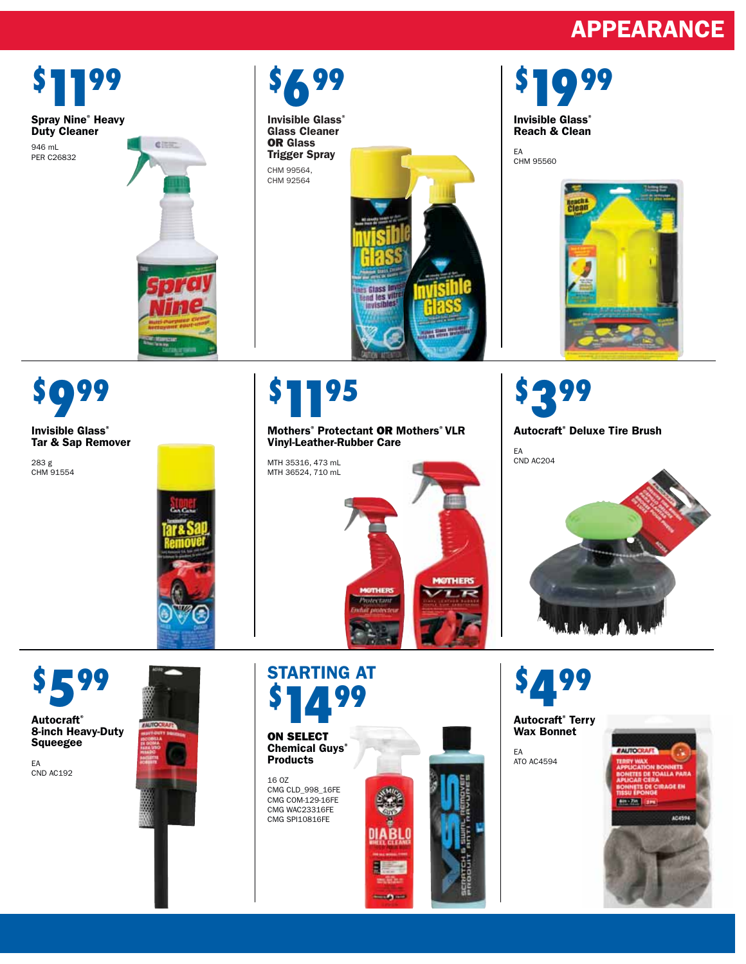# **APPEARANCE**



**Continued**